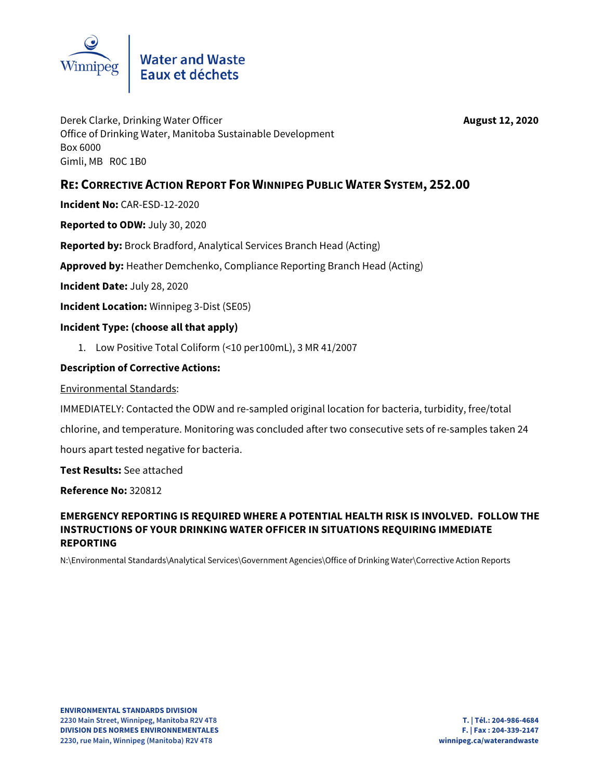

Derek Clarke, Drinking Water Officer **August 12, 2020** Office of Drinking Water, Manitoba Sustainable Development Box 6000 Gimli, MB R0C 1B0

# **RE: CORRECTIVE ACTION REPORT FOR WINNIPEG PUBLIC WATER SYSTEM, 252.00**

**Incident No:** CAR-ESD-12-2020

**Reported to ODW:** July 30, 2020

**Reported by:** Brock Bradford, Analytical Services Branch Head (Acting)

**Approved by:** Heather Demchenko, Compliance Reporting Branch Head (Acting)

**Incident Date:** July 28, 2020

**Incident Location:** Winnipeg 3-Dist (SE05)

### **Incident Type: (choose all that apply)**

1. Low Positive Total Coliform (<10 per100mL), 3 MR 41/2007

### **Description of Corrective Actions:**

Environmental Standards:

IMMEDIATELY: Contacted the ODW and re-sampled original location for bacteria, turbidity, free/total chlorine, and temperature. Monitoring was concluded after two consecutive sets of re-samples taken 24 hours apart tested negative for bacteria.

**Test Results:** See attached

**Reference No:** 320812

## **EMERGENCY REPORTING IS REQUIRED WHERE A POTENTIAL HEALTH RISK IS INVOLVED. FOLLOW THE INSTRUCTIONS OF YOUR DRINKING WATER OFFICER IN SITUATIONS REQUIRING IMMEDIATE REPORTING**

N:\Environmental Standards\Analytical Services\Government Agencies\Office of Drinking Water\Corrective Action Reports